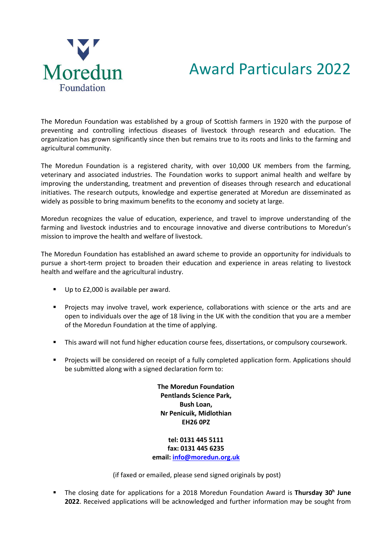

## Award Particulars 2022

The Moredun Foundation was established by a group of Scottish farmers in 1920 with the purpose of preventing and controlling infectious diseases of livestock through research and education. The organization has grown significantly since then but remains true to its roots and links to the farming and agricultural community.

The Moredun Foundation is a registered charity, with over 10,000 UK members from the farming, veterinary and associated industries. The Foundation works to support animal health and welfare by improving the understanding, treatment and prevention of diseases through research and educational initiatives. The research outputs, knowledge and expertise generated at Moredun are disseminated as widely as possible to bring maximum benefits to the economy and society at large.

Moredun recognizes the value of education, experience, and travel to improve understanding of the farming and livestock industries and to encourage innovative and diverse contributions to Moredun's mission to improve the health and welfare of livestock.

The Moredun Foundation has established an award scheme to provide an opportunity for individuals to pursue a short-term project to broaden their education and experience in areas relating to livestock health and welfare and the agricultural industry.

- Up to £2,000 is available per award.
- Projects may involve travel, work experience, collaborations with science or the arts and are open to individuals over the age of 18 living in the UK with the condition that you are a member of the Moredun Foundation at the time of applying.
- This award will not fund higher education course fees, dissertations, or compulsory coursework.
- Projects will be considered on receipt of a fully completed application form. Applications should be submitted along with a signed declaration form to:

**The Moredun Foundation Pentlands Science Park, Bush Loan, Nr Penicuik, Midlothian EH26 0PZ**

**tel: 0131 445 5111 fax: 0131 445 6235 email: [info@moredun.org.uk](mailto:info@moredun.org.uk)**

(if faxed or emailed, please send signed originals by post)

▪ The closing date for applications for a 2018 Moredun Foundation Award is **Thursday 30<sup>h</sup> June 2022**. Received applications will be acknowledged and further information may be sought from